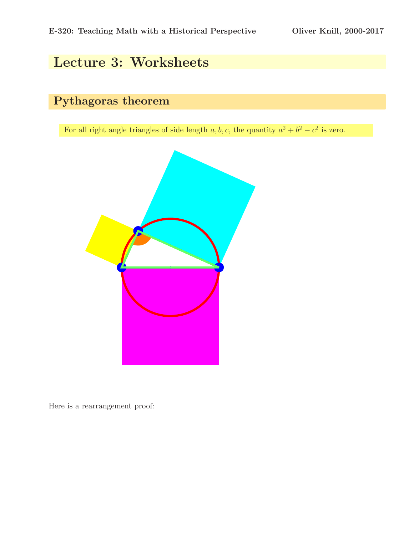## Lecture 3: Worksheets

## Pythagoras theorem

For all right angle triangles of side length a, b, c, the quantity  $a^2 + b^2 - c^2$  is zero.



Here is a rearrangement proof: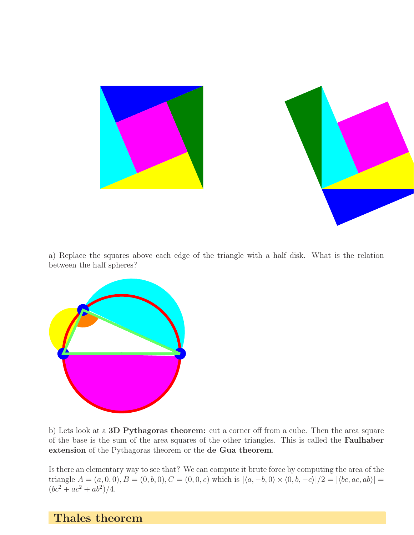

a) Replace the squares above each edge of the triangle with a half disk. What is the relation between the half spheres?



b) Lets look at a 3D Pythagoras theorem: cut a corner off from a cube. Then the area square of the base is the sum of the area squares of the other triangles. This is called the Faulhaber extension of the Pythagoras theorem or the de Gua theorem.

Is there an elementary way to see that? We can compute it brute force by computing the area of the triangle  $A = (a, 0, 0), B = (0, b, 0), C = (0, 0, c)$  which is  $|\langle a, -b, 0 \rangle \times \langle 0, b, -c \rangle|/2 = |\langle bc, ac, ab \rangle|$  $(bc^2 + ac^2 + ab^2)/4.$ 

#### Thales theorem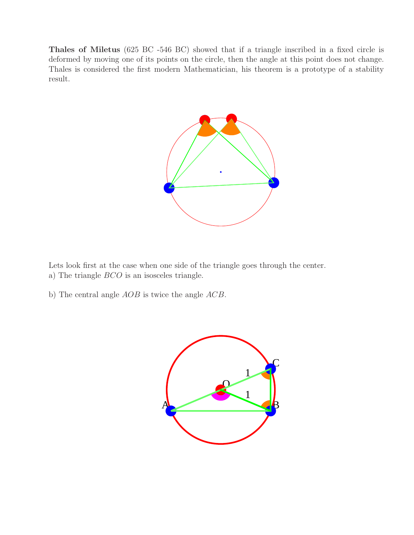Thales of Miletus (625 BC -546 BC) showed that if a triangle inscribed in a fixed circle is deformed by moving one of its points on the circle, then the angle at this point does not change. Thales is considered the first modern Mathematician, his theorem is a prototype of a stability result.



Lets look first at the case when one side of the triangle goes through the center. a) The triangle BCO is an isosceles triangle.

b) The central angle AOB is twice the angle ACB.

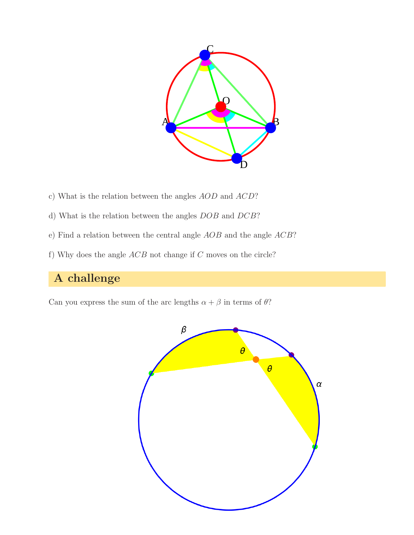

- c) What is the relation between the angles AOD and ACD?
- d) What is the relation between the angles DOB and DCB?
- e) Find a relation between the central angle AOB and the angle ACB?
- f) Why does the angle  $ACB$  not change if  $C$  moves on the circle?

## A challenge

Can you express the sum of the arc lengths  $\alpha+\beta$  in terms of  $\theta?$ 

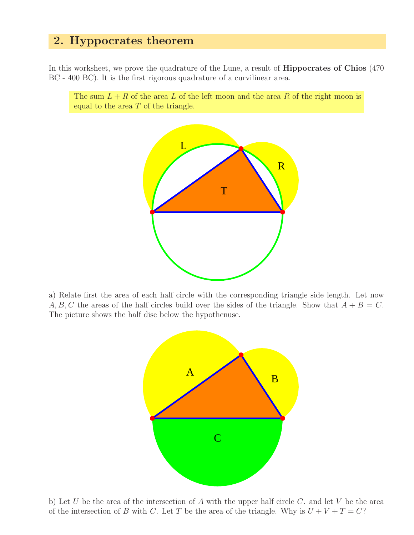#### 2. Hyppocrates theorem

In this worksheet, we prove the quadrature of the Lune, a result of Hippocrates of Chios (470 BC - 400 BC). It is the first rigorous quadrature of a curvilinear area.

The sum  $L + R$  of the area L of the left moon and the area R of the right moon is equal to the area  $T$  of the triangle.



a) Relate first the area of each half circle with the corresponding triangle side length. Let now A, B, C the areas of the half circles build over the sides of the triangle. Show that  $A + B = C$ . The picture shows the half disc below the hypothenuse.



b) Let U be the area of the intersection of A with the upper half circle C. and let V be the area of the intersection of B with C. Let T be the area of the triangle. Why is  $U + V + T = C$ ?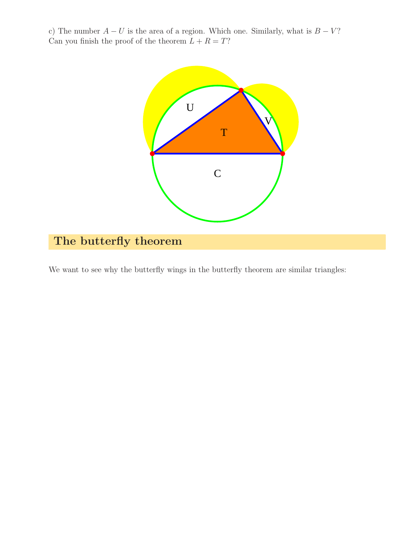c) The number  $A - U$  is the area of a region. Which one. Similarly, what is  $B - V$ ? Can you finish the proof of the theorem  $L + R = T$ ?



We want to see why the butterfly wings in the butterfly theorem are similar triangles: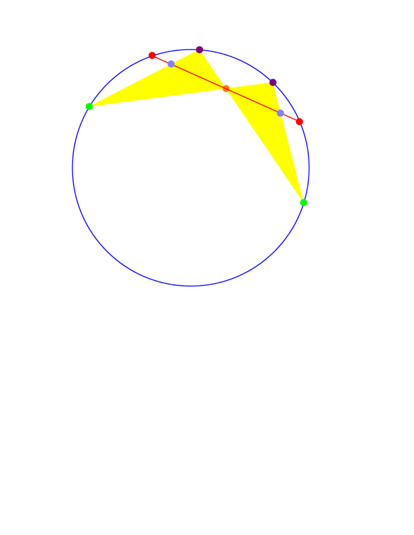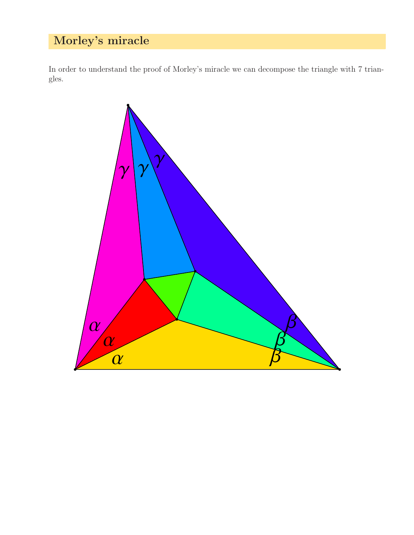# Morley's miracle

In order to understand the proof of Morley's miracle we can decompose the triangle with 7 triangles.